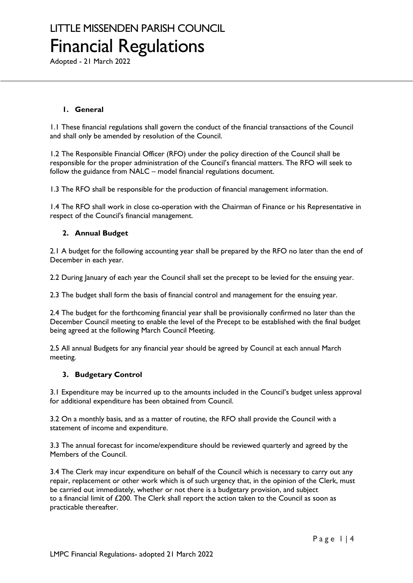Adopted - 21 March 2022

### **1. General**

1.1 These financial regulations shall govern the conduct of the financial transactions of the Council and shall only be amended by resolution of the Council.

1.2 The Responsible Financial Officer (RFO) under the policy direction of the Council shall be responsible for the proper administration of the Council's financial matters. The RFO will seek to follow the guidance from NALC – model financial regulations document.

1.3 The RFO shall be responsible for the production of financial management information.

1.4 The RFO shall work in close co-operation with the Chairman of Finance or his Representative in respect of the Council's financial management.

### **2. Annual Budget**

2.1 A budget for the following accounting year shall be prepared by the RFO no later than the end of December in each year.

2.2 During January of each year the Council shall set the precept to be levied for the ensuing year.

2.3 The budget shall form the basis of financial control and management for the ensuing year.

2.4 The budget for the forthcoming financial year shall be provisionally confirmed no later than the December Council meeting to enable the level of the Precept to be established with the final budget being agreed at the following March Council Meeting.

2.5 All annual Budgets for any financial year should be agreed by Council at each annual March meeting.

#### **3. Budgetary Control**

3.1 Expenditure may be incurred up to the amounts included in the Council's budget unless approval for additional expenditure has been obtained from Council.

3.2 On a monthly basis, and as a matter of routine, the RFO shall provide the Council with a statement of income and expenditure.

3.3 The annual forecast for income/expenditure should be reviewed quarterly and agreed by the Members of the Council.

3.4 The Clerk may incur expenditure on behalf of the Council which is necessary to carry out any repair, replacement or other work which is of such urgency that, in the opinion of the Clerk, must be carried out immediately, whether or not there is a budgetary provision, and subject to a financial limit of £200. The Clerk shall report the action taken to the Council as soon as practicable thereafter.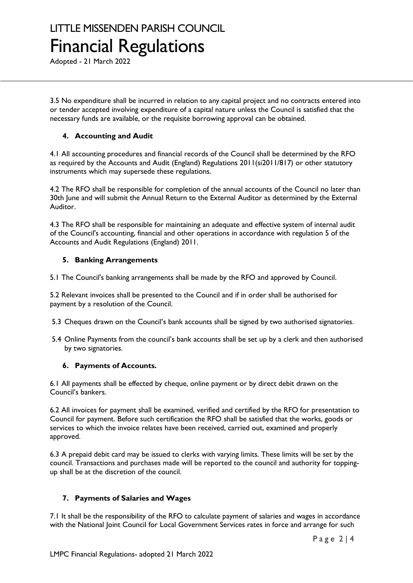Adopted - 21 March 2022

3.5 No expenditure shall be incurred in relation to any capital project and no contracts entered into or tender accepted involving expenditure of a capital nature unless the Council is satisfied that the necessary funds are available, or the requisite borrowing approval can be obtained.

## **4. Accounting and Audit**

4.1 All accounting procedures and financial records of the Council shall be determined by the RFO as required by the Accounts and Audit (England) Regulations 2011(si2011/817) or other statutory instruments which may supersede these regulations.

4.2 The RFO shall be responsible for completion of the annual accounts of the Council no later than 30th June and will submit the Annual Return to the External Auditor as determined by the External Auditor.

4.3 The RFO shall be responsible for maintaining an adequate and effective system of internal audit of the Council's accounting, financial and other operations in accordance with regulation 5 of the Accounts and Audit Regulations (England) 2011.

## **5. Banking Arrangements**

5.1 The Council's banking arrangements shall be made by the RFO and approved by Council.

5.2 Relevant invoices shall be presented to the Council and if in order shall be authorised for payment by a resolution of the Council.

5.3 Cheques drawn on the Council's bank accounts shall be signed by two authorised signatories.

5.4 Online Payments from the council's bank accounts shall be set up by a clerk and then authorised by two signatories.

## **6. Payments of Accounts.**

6.1 All payments shall be effected by cheque, online payment or by direct debit drawn on the Council's bankers.

6.2 All invoices for payment shall be examined, verified and certified by the RFO for presentation to Council for payment. Before such certification the RFO shall be satisfied that the works, goods or services to which the invoice relates have been received, carried out, examined and properly approved.

6.3 A prepaid debit card may be issued to clerks with varying limits. These limits will be set by the council. Transactions and purchases made will be reported to the council and authority for toppingup shall be at the discretion of the council.

## **7. Payments of Salaries and Wages**

7.1 It shall be the responsibility of the RFO to calculate payment of salaries and wages in accordance with the National Joint Council for Local Government Services rates in force and arrange for such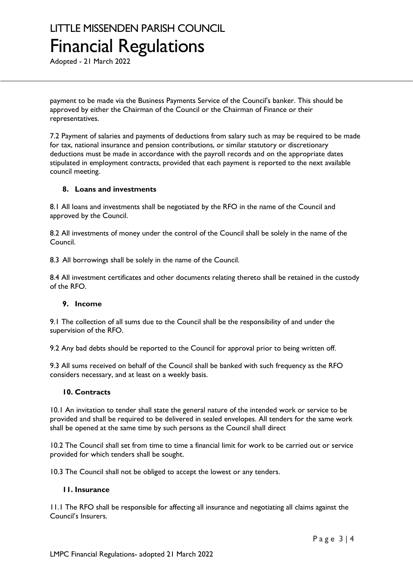Adopted - 21 March 2022

payment to be made via the Business Payments Service of the Council's banker. This should be approved by either the Chairman of the Council or the Chairman of Finance or their representatives.

7.2 Payment of salaries and payments of deductions from salary such as may be required to be made for tax, national insurance and pension contributions, or similar statutory or discretionary deductions must be made in accordance with the payroll records and on the appropriate dates stipulated in employment contracts, provided that each payment is reported to the next available council meeting.

#### **8. Loans and investments**

8.1 All loans and investments shall be negotiated by the RFO in the name of the Council and approved by the Council.

8.2 All investments of money under the control of the Council shall be solely in the name of the Council.

8.3 All borrowings shall be solely in the name of the Council.

8.4 All investment certificates and other documents relating thereto shall be retained in the custody of the RFO.

#### **9. Income**

9.1 The collection of all sums due to the Council shall be the responsibility of and under the supervision of the RFO.

9.2 Any bad debts should be reported to the Council for approval prior to being written off.

9.3 All sums received on behalf of the Council shall be banked with such frequency as the RFO considers necessary, and at least on a weekly basis.

#### **10. Contracts**

10.1 An invitation to tender shall state the general nature of the intended work or service to be provided and shall be required to be delivered in sealed envelopes. All tenders for the same work shall be opened at the same time by such persons as the Council shall direct

10.2 The Council shall set from time to time a financial limit for work to be carried out or service provided for which tenders shall be sought.

10.3 The Council shall not be obliged to accept the lowest or any tenders.

#### **11. Insurance**

11.1 The RFO shall be responsible for affecting all insurance and negotiating all claims against the Council's Insurers.